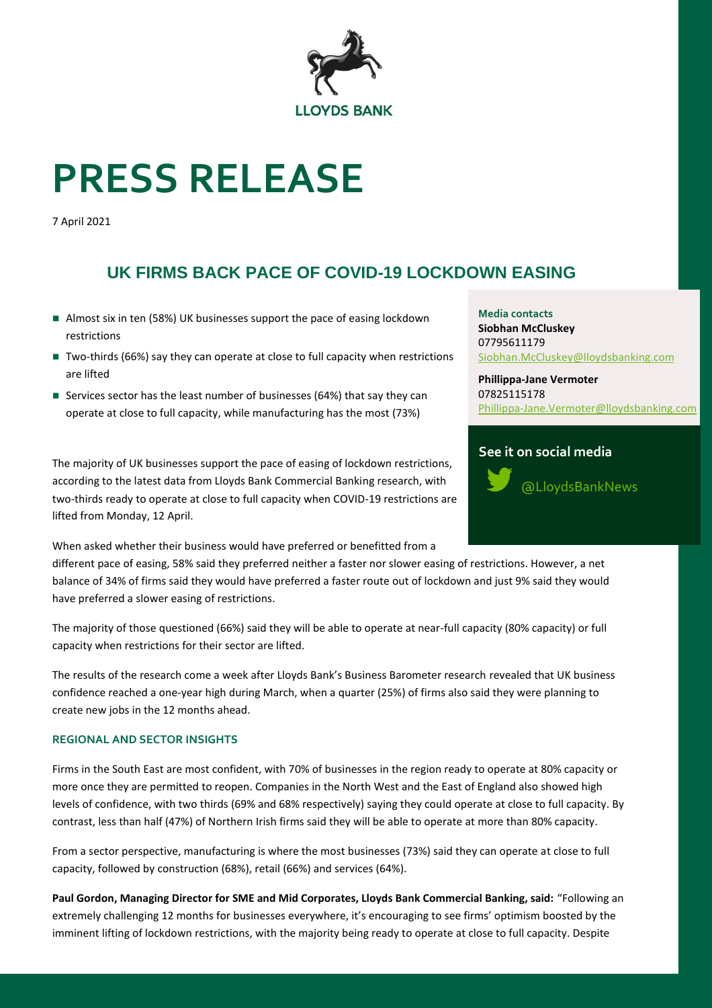

# **PRESS RELEASE**

7 April 2021

# **UK FIRMS BACK PACE OF COVID-19 LOCKDOWN EASING**

- Almost six in ten (58%) UK businesses support the pace of easing lockdown restrictions
- Two-thirds (66%) say they can operate at close to full capacity when restrictions are lifted
- Services sector has the least number of businesses (64%) that say they can operate at close to full capacity, while manufacturing has the most (73%)

The majority of UK businesses support the pace of easing of lockdown restrictions, according to the latest data from Lloyds Bank Commercial Banking research, with two-thirds ready to operate at close to full capacity when COVID-19 restrictions are lifted from Monday, 12 April.

When asked whether their business would have preferred or benefitted from a

different pace of easing, 58% said they preferred neither a faster nor slower easing of restrictions. However, a net balance of 34% of firms said they would have preferred a faster route out of lockdown and just 9% said they would have preferred a slower easing of restrictions.

The majority of those questioned (66%) said they will be able to operate at near-full capacity (80% capacity) or full capacity when restrictions for their sector are lifted.

The results of the research come a week after Lloyds Bank's Business Barometer research revealed that UK business confidence reached a one-year high during March, when a quarter (25%) of firms also said they were planning to create new jobs in the 12 months ahead.

### **REGIONAL AND SECTOR INSIGHTS**

Firms in the South East are most confident, with 70% of businesses in the region ready to operate at 80% capacity or more once they are permitted to reopen. Companies in the North West and the East of England also showed high levels of confidence, with two thirds (69% and 68% respectively) saying they could operate at close to full capacity. By contrast, less than half (47%) of Northern Irish firms said they will be able to operate at more than 80% capacity.

From a sector perspective, manufacturing is where the most businesses (73%) said they can operate at close to full capacity, followed by construction (68%), retail (66%) and services (64%).

**Paul Gordon, Managing Director for SME and Mid Corporates, Lloyds Bank Commercial Banking, said:** "Following an extremely challenging 12 months for businesses everywhere, it's encouraging to see firms' optimism boosted by the imminent lifting of lockdown restrictions, with the majority being ready to operate at close to full capacity. Despite

**Media contacts Siobhan McCluskey** 07795611179 [Siobhan.McCluskey@lloydsbanking.com](mailto:Siobhan.McCluskey@lloydsbanking.com)

**Phillippa-Jane Vermoter** 07825115178 [Phillippa-Jane.Vermoter@lloydsbanking.com](mailto:Phillippa-Jane.Vermoter@lloydsbanking.com)

# **See it on social media**